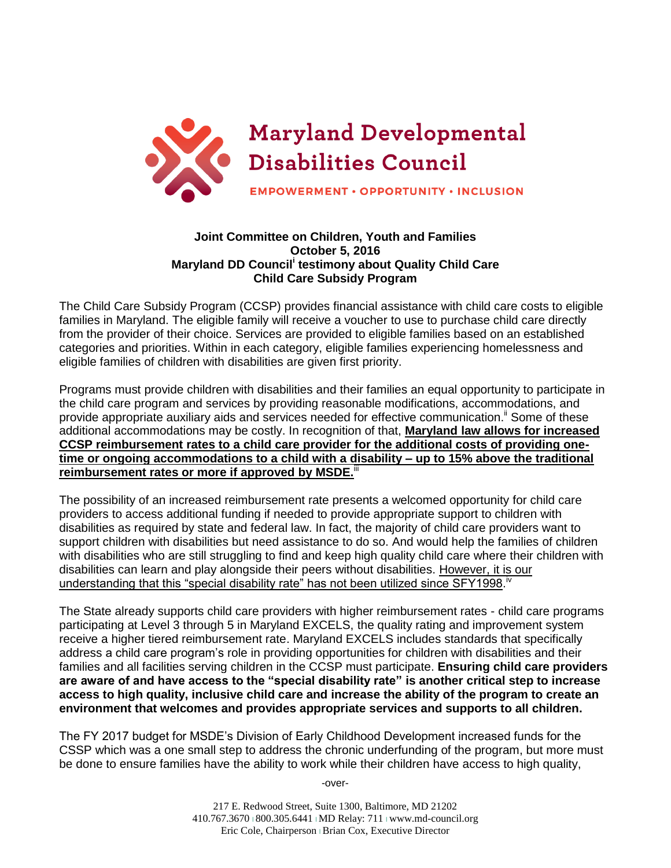

## **Joint Committee on Children, Youth and Families October 5, 2016 Maryland DD Council<sup>i</sup> testimony about Quality Child Care Child Care Subsidy Program**

The Child Care Subsidy Program (CCSP) provides financial assistance with child care costs to eligible families in Maryland. The eligible family will receive a voucher to use to purchase child care directly from the provider of their choice. Services are provided to eligible families based on an established categories and priorities. Within in each category, eligible families experiencing homelessness and eligible families of children with disabilities are given first priority.

Programs must provide children with disabilities and their families an equal opportunity to participate in the child care program and services by providing reasonable modifications, accommodations, and provide appropriate auxiliary aids and services needed for effective communication.<sup>"</sup> Some of these additional accommodations may be costly. In recognition of that, **Maryland law allows for increased CCSP reimbursement rates to a child care provider for the additional costs of providing onetime or ongoing accommodations to a child with a disability – up to 15% above the traditional**  reimbursement rates or more if approved by MSDE.<sup>III</sup>

The possibility of an increased reimbursement rate presents a welcomed opportunity for child care providers to access additional funding if needed to provide appropriate support to children with disabilities as required by state and federal law. In fact, the majority of child care providers want to support children with disabilities but need assistance to do so. And would help the families of children with disabilities who are still struggling to find and keep high quality child care where their children with disabilities can learn and play alongside their peers without disabilities. However, it is our understanding that this "special disability rate" has not been utilized since SFY1998.<sup>iv</sup>

The State already supports child care providers with higher reimbursement rates - child care programs participating at Level 3 through 5 in Maryland EXCELS, the quality rating and improvement system receive a higher tiered reimbursement rate. Maryland EXCELS includes standards that specifically address a child care program's role in providing opportunities for children with disabilities and their families and all facilities serving children in the CCSP must participate. **Ensuring child care providers are aware of and have access to the "special disability rate" is another critical step to increase access to high quality, inclusive child care and increase the ability of the program to create an environment that welcomes and provides appropriate services and supports to all children.** 

The FY 2017 budget for MSDE's Division of Early Childhood Development increased funds for the CSSP which was a one small step to address the chronic underfunding of the program, but more must be done to ensure families have the ability to work while their children have access to high quality,

-over-

217 E. Redwood Street, Suite 1300, Baltimore, MD 21202 410.767.3670 | 800.305.6441 | MD Relay: 711 | www.md-council.org Eric Cole, Chairperson l Brian Cox, Executive Director